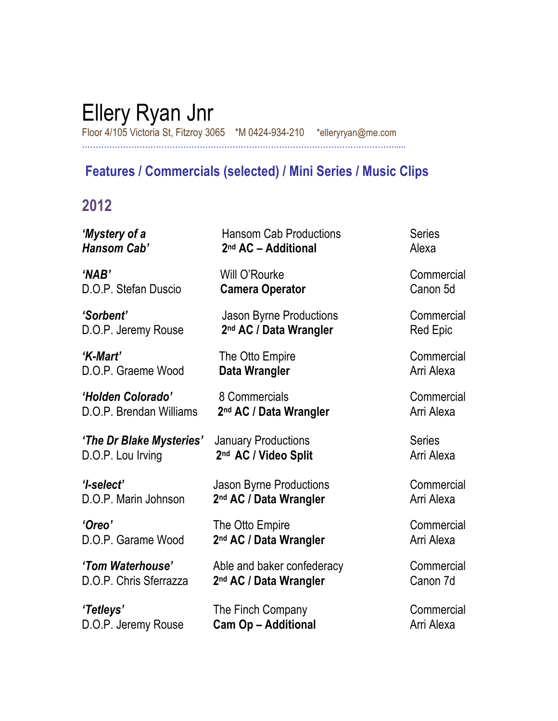# Ellery Ryan Jnr

Floor 4/105 Victoria St, Fitzroy 3065 \*M 0424-934-210 \*elleryryan@me.com …………………………………………………………………………………………………….....

### **Features / Commercials (selected) / Mini Series / Music Clips**

## **2012**

| 'Mystery of a            | <b>Hansom Cab Productions</b>      | <b>Series</b>   |
|--------------------------|------------------------------------|-----------------|
| Hansom Cab'              | 2 <sup>nd</sup> AC - Additional    | Alexa           |
| 'NAB'                    | Will O'Rourke                      | Commercial      |
| D.O.P. Stefan Duscio     | <b>Camera Operator</b>             | Canon 5d        |
| 'Sorbent'                | <b>Jason Byrne Productions</b>     | Commercial      |
| D.O.P. Jeremy Rouse      | 2 <sup>nd</sup> AC / Data Wrangler | <b>Red Epic</b> |
| 'K-Mart'                 | The Otto Empire                    | Commercial      |
| D.O.P. Graeme Wood       | Data Wrangler                      | Arri Alexa      |
| 'Holden Colorado'        | 8 Commercials                      | Commercial      |
| D.O.P. Brendan Williams  | 2 <sup>nd</sup> AC / Data Wrangler | Arri Alexa      |
| 'The Dr Blake Mysteries' | <b>January Productions</b>         | <b>Series</b>   |
| D.O.P. Lou Irving        | 2 <sup>nd</sup> AC / Video Split   | Arri Alexa      |
| 'l-select'               | <b>Jason Byrne Productions</b>     | Commercial      |
| D.O.P. Marin Johnson     | 2 <sup>nd</sup> AC / Data Wrangler | Arri Alexa      |
| 'Oreo'                   | The Otto Empire                    | Commercial      |
| D.O.P. Garame Wood       | 2 <sup>nd</sup> AC / Data Wrangler | Arri Alexa      |
| 'Tom Waterhouse'         | Able and baker confederacy         | Commercial      |
| D.O.P. Chris Sferrazza   | 2 <sup>nd</sup> AC / Data Wrangler | Canon 7d        |
| 'Tetleys'                | The Finch Company                  | Commercial      |
| D.O.P. Jeremy Rouse      | <b>Cam Op - Additional</b>         | Arri Alexa      |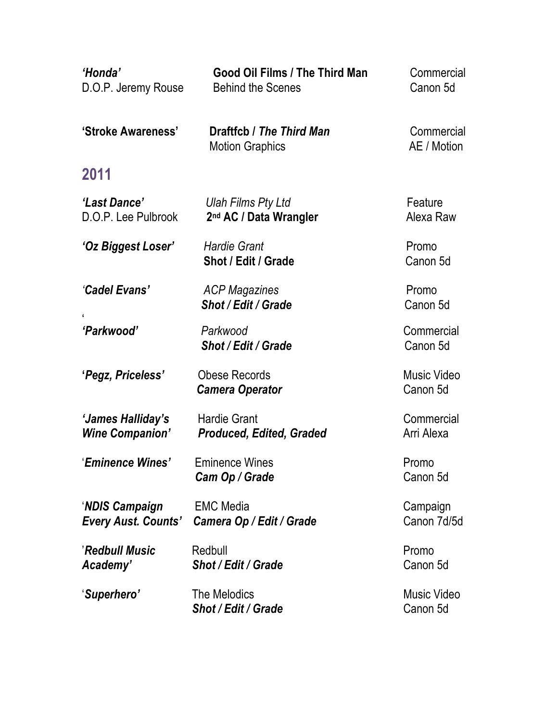| 'Honda'<br>D.O.P. Jeremy Rouse               | <b>Good Oil Films / The Third Man</b><br><b>Behind the Scenes</b> | Commercial<br>Canon 5d         |
|----------------------------------------------|-------------------------------------------------------------------|--------------------------------|
| 'Stroke Awareness'                           | Draftfcb / The Third Man<br><b>Motion Graphics</b>                | Commercial<br>AE / Motion      |
| 2011                                         |                                                                   |                                |
| 'Last Dance'<br>D.O.P. Lee Pulbrook          | Ulah Films Pty Ltd<br>2 <sup>nd</sup> AC / Data Wrangler          | Feature<br>Alexa Raw           |
| 'Oz Biggest Loser'                           | <b>Hardie Grant</b><br>Shot / Edit / Grade                        | Promo<br>Canon 5d              |
| 'Cadel Evans'                                | <b>ACP Magazines</b><br>Shot / Edit / Grade                       | Promo<br>Canon 5d              |
| 'Parkwood'                                   | Parkwood<br><b>Shot / Edit / Grade</b>                            | Commercial<br>Canon 5d         |
| 'Pegz, Priceless'                            | <b>Obese Records</b><br><b>Camera Operator</b>                    | <b>Music Video</b><br>Canon 5d |
| 'James Halliday's<br><b>Wine Companion'</b>  | <b>Hardie Grant</b><br><b>Produced, Edited, Graded</b>            | Commercial<br>Arri Alexa       |
| 'Eminence Wines'                             | <b>Eminence Wines</b><br>Cam Op / Grade                           | Promo<br>Canon 5d              |
| 'NDIS Campaign<br><b>Every Aust. Counts'</b> | <b>EMC Media</b><br>Camera Op / Edit / Grade                      | Campaign<br>Canon 7d/5d        |
| 'Redbull Music<br>Academy'                   | Redbull<br><b>Shot / Edit / Grade</b>                             | Promo<br>Canon 5d              |
| 'Superhero'                                  | The Melodics<br>Shot / Edit / Grade                               | Music Video<br>Canon 5d        |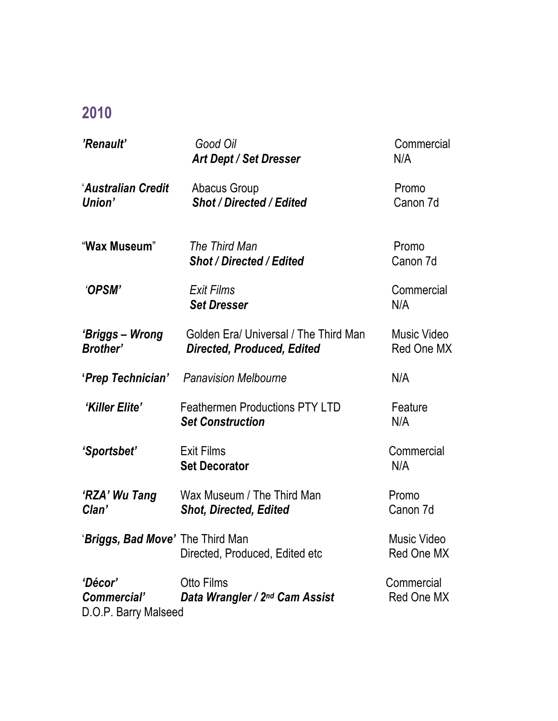## **2010**

| 'Renault'                                      | Good Oil<br><b>Art Dept / Set Dresser</b>                                  | Commercial<br>N/A                |
|------------------------------------------------|----------------------------------------------------------------------------|----------------------------------|
| 'Australian Credit<br>Union'                   | Abacus Group<br><b>Shot / Directed / Edited</b>                            | Promo<br>Canon 7d                |
| "Wax Museum"                                   | The Third Man<br><b>Shot / Directed / Edited</b>                           | Promo<br>Canon 7d                |
| 'OPSM'                                         | <b>Exit Films</b><br><b>Set Dresser</b>                                    | Commercial<br>N/A                |
| 'Briggs – Wrong<br><b>Brother'</b>             | Golden Era/ Universal / The Third Man<br><b>Directed, Produced, Edited</b> | Music Video<br><b>Red One MX</b> |
| 'Prep Technician'                              | <b>Panavision Melbourne</b>                                                | N/A                              |
| 'Killer Elite'                                 | <b>Feathermen Productions PTY LTD</b><br><b>Set Construction</b>           | Feature<br>N/A                   |
| 'Sportsbet'                                    | <b>Exit Films</b><br><b>Set Decorator</b>                                  | Commercial<br>N/A                |
| 'RZA' Wu Tang<br>Clan'                         | Wax Museum / The Third Man<br><b>Shot, Directed, Edited</b>                | Promo<br>Canon 7d                |
| 'Briggs, Bad Move' The Third Man               | Directed, Produced, Edited etc                                             | Music Video<br><b>Red One MX</b> |
| 'Décor'<br>Commercial'<br>D.O.P. Barry Malseed | <b>Otto Films</b><br>Data Wrangler / 2nd Cam Assist                        | Commercial<br><b>Red One MX</b>  |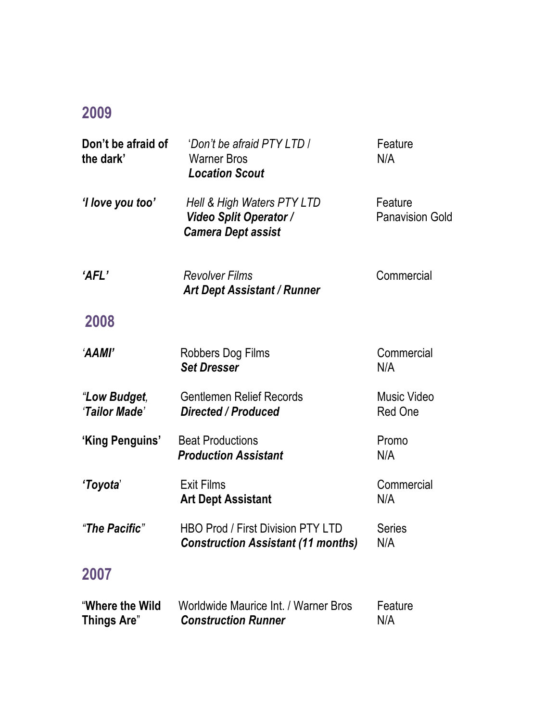## **2009**

| Don't be afraid of<br>the dark'       | 'Don't be afraid PTY LTD /<br><b>Warner Bros</b><br><b>Location Scout</b>                | Feature<br>N/A                    |
|---------------------------------------|------------------------------------------------------------------------------------------|-----------------------------------|
| 'I love you too'                      | Hell & High Waters PTY LTD<br><b>Video Split Operator /</b><br><b>Camera Dept assist</b> | Feature<br><b>Panavision Gold</b> |
| 'AFL'                                 | <b>Revolver Films</b><br><b>Art Dept Assistant / Runner</b>                              | Commercial                        |
| 2008                                  |                                                                                          |                                   |
| 'AAMI'                                | <b>Robbers Dog Films</b><br><b>Set Dresser</b>                                           | Commercial<br>N/A                 |
| "Low Budget,<br>'Tailor Made'         | <b>Gentlemen Relief Records</b><br><b>Directed / Produced</b>                            | Music Video<br><b>Red One</b>     |
| 'King Penguins'                       | <b>Beat Productions</b><br><b>Production Assistant</b>                                   | Promo<br>N/A                      |
| 'Toyota'                              | <b>Exit Films</b><br><b>Art Dept Assistant</b>                                           | Commercial<br>N/A                 |
| "The Pacific"                         | <b>HBO Prod / First Division PTY LTD</b><br><b>Construction Assistant (11 months)</b>    | <b>Series</b><br>N/A              |
| 2007                                  |                                                                                          |                                   |
| "Where the Wild<br><b>Things Are"</b> | Worldwide Maurice Int. / Warner Bros<br><b>Construction Runner</b>                       | Feature<br>N/A                    |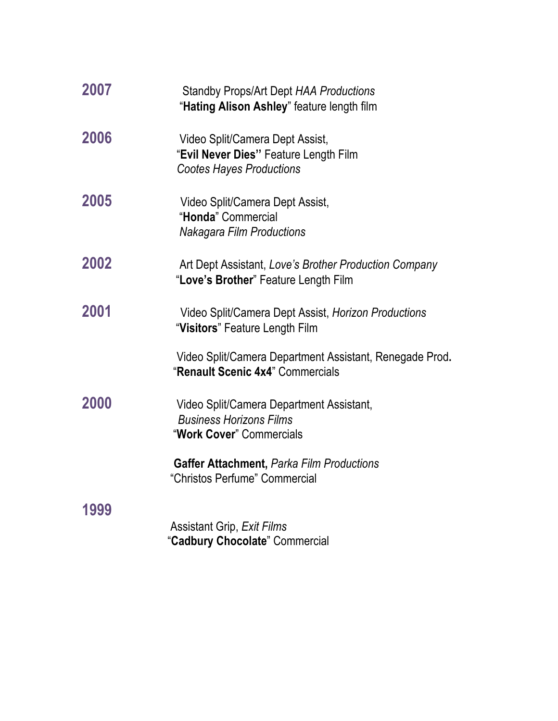| 2007 | <b>Standby Props/Art Dept HAA Productions</b><br>"Hating Alison Ashley" feature length film                 |
|------|-------------------------------------------------------------------------------------------------------------|
| 2006 | Video Split/Camera Dept Assist,<br>"Evil Never Dies" Feature Length Film<br><b>Cootes Hayes Productions</b> |
| 2005 | Video Split/Camera Dept Assist,<br>"Honda" Commercial<br><b>Nakagara Film Productions</b>                   |
| 2002 | Art Dept Assistant, Love's Brother Production Company<br>"Love's Brother" Feature Length Film               |
| 2001 | Video Split/Camera Dept Assist, Horizon Productions<br>"Visitors" Feature Length Film                       |
|      | Video Split/Camera Department Assistant, Renegade Prod.<br>"Renault Scenic 4x4" Commercials                 |
| 2000 | Video Split/Camera Department Assistant,<br><b>Business Horizons Films</b><br>"Work Cover" Commercials      |
|      | Gaffer Attachment, Parka Film Productions<br>"Christos Perfume" Commercial                                  |
| 1999 | <b>Assistant Grip, Exit Films</b><br>"Cadbury Chocolate" Commercial                                         |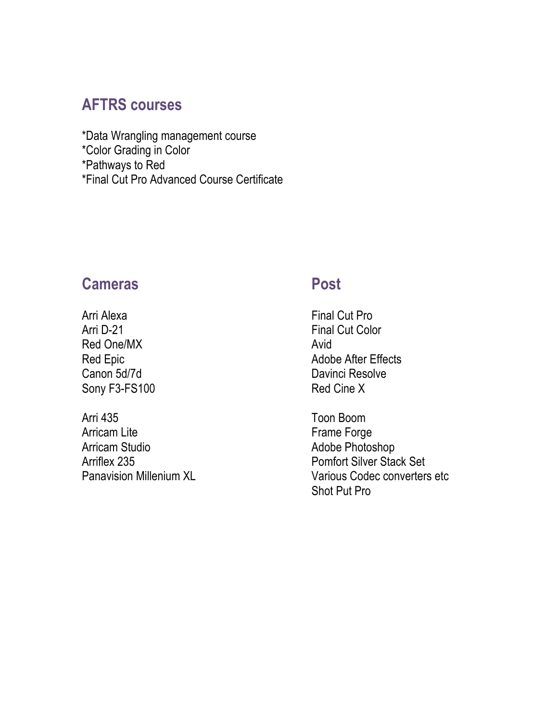### **AFTRS courses**

\*Data Wrangling management course \*Color Grading in Color \*Pathways to Red \*Final Cut Pro Advanced Course Certificate

### **Cameras Post**

Arri Alexa **Final Cut Pro** Arri D-21 Final Cut Color Red One/MX Avid Canon 5d/7d Davinci Resolve Sony F3-FS100 Red Cine X

Arri 435 Toon Boom Arricam Lite Frame Forge Arricam Studio **Adobe Photoshop** Adobe Photoshop

Red Epic **Adobe After Effects** Adobe After Effects

Arriflex 235 **Pomfort Silver Stack Set** Panavision Millenium XL Various Codec converters etc Shot Put Pro